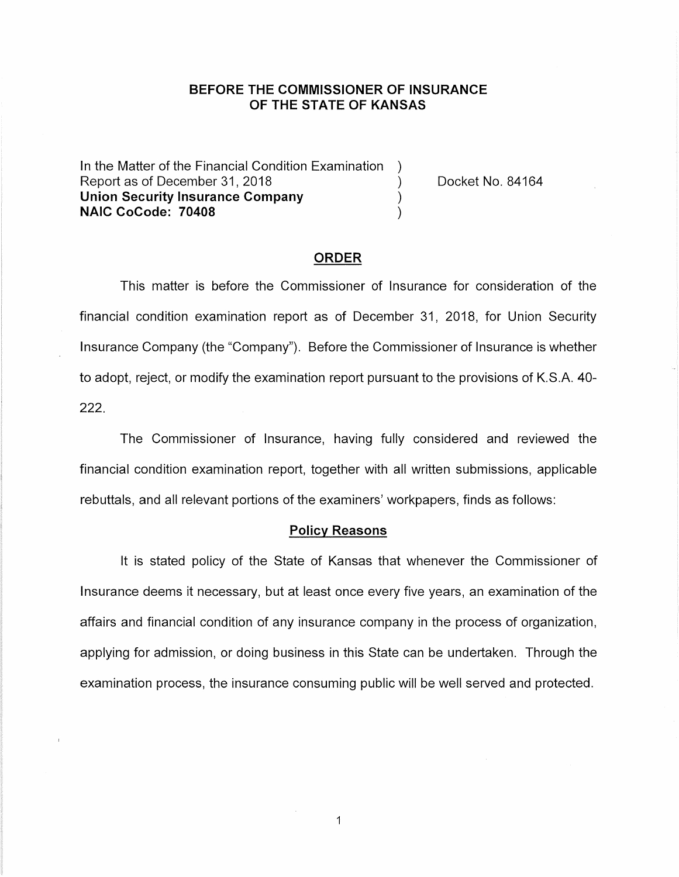# **BEFORE THE COMMISSIONER OF INSURANCE OF THE STATE OF KANSAS**

In the Matter of the Financial Condition Examination Report as of December 31, 2018 (a) The Cooket No. 84164 **Union Security Insurance Company** ) **NAIC CoCode: 70408** )

#### **ORDER**

This matter is before the Commissioner of Insurance for consideration of the financial condition examination report as of December 31, 2018, for Union Security Insurance Company (the "Company"). Before the Commissioner of Insurance is whether to adopt, reject, or modify the examination report pursuant to the provisions of K.S.A. 40- 222.

The Commissioner of Insurance, having fully considered and reviewed the financial condition examination report, together with all written submissions, applicable rebuttals, and all relevant portions of the examiners' workpapers, finds as follows:

#### **Policy Reasons**

It is stated policy of the State of Kansas that whenever the Commissioner of Insurance deems it necessary, but at least once every five years, an examination of the affairs and financial condition of any insurance company in the process of organization, applying for admission, or doing business in this State can be undertaken. Through the examination process, the insurance consuming public will be well served and protected.

1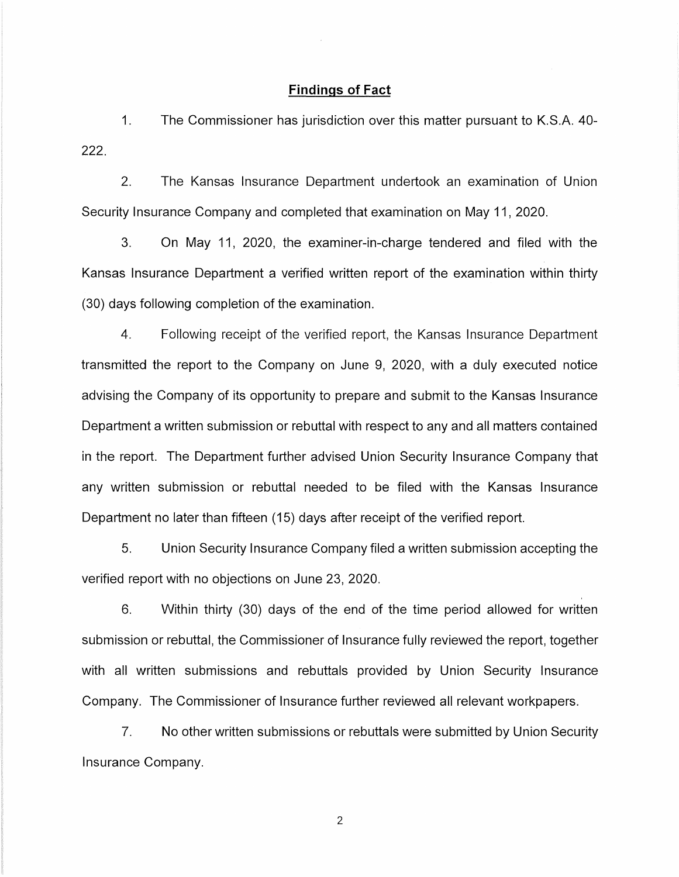#### **Findings of Fact**

1. The Commissioner has jurisdiction over this matter pursuant to K.S.A. 40- 222.

2. The Kansas Insurance Department undertook an examination of Union Security Insurance Company and completed that examination on May 11, 2020.

3. On May 11, 2020, the examiner-in-charge tendered and filed with the Kansas Insurance Department a verified written report of the examination within thirty (30) days following completion of the examination.

4. Following receipt of the verified report, the Kansas Insurance Department transmitted the report to the Company on June 9, 2020, with a duly executed notice advising the Company of its opportunity to prepare and submit to the Kansas Insurance Department a written submission or rebuttal with respect to any and all matters contained in the report. The Department further advised Union Security Insurance Company that any written submission or rebuttal needed to be filed with the Kansas Insurance Department no later than fifteen (15) days after receipt of the verified report.

5. Union Security Insurance Company filed a written submission accepting the verified report with no objections on June 23, 2020.

6. Within thirty (30) days of the end of the time period allowed for written submission or rebuttal, the Commissioner of Insurance fully reviewed the report, together with all written submissions and rebuttals provided by Union Security Insurance Company. The Commissioner of Insurance further reviewed all relevant workpapers.

7. No other written submissions or rebuttals were submitted by Union Security Insurance Company.

2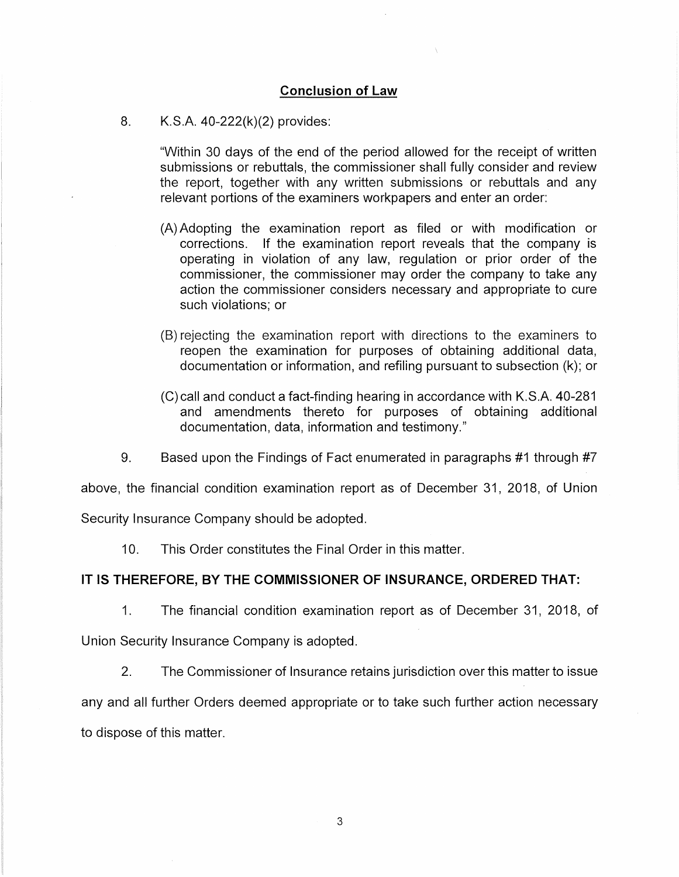## **Conclusion of Law**

# 8. K.S.A. 40-222(k)(2) provides:

"Within 30 days of the end of the period allowed for the receipt of written submissions or rebuttals, the commissioner shall fully consider and review the report, together with any written submissions or rebuttals and any relevant portions of the examiners workpapers and enter an order:

- (A) Adopting the examination report as filed or with modification or corrections. If the examination report reveals that the company is operating in violation of any law, regulation or prior order of the commissioner, the commissioner may order the company to take any action the commissioner considers necessary and appropriate to cure such violations; or
- (B) rejecting the examination report with directions to the examiners to reopen the examination for purposes of obtaining additional data, documentation or information, and refiling pursuant to subsection (k); or
- (C) call and conduct a fact-finding hearing in accordance with K.S.A. 40-281 and amendments thereto for purposes of obtaining additional documentation, data, information and testimony."
- 9. Based upon the Findings of Fact enumerated in paragraphs #1 through #7

above, the financial condition examination report as of December 31, 2018, of Union

Security Insurance Company should be adopted.

10. This Order constitutes the Final Order in this matter.

# **IT IS THEREFORE, BY THE COMMISSIONER OF INSURANCE, ORDERED THAT:**

1. The financial condition examination report as of December 31, 2018, of

Union Security Insurance Company is adopted.

2. The Commissioner of Insurance retains jurisdiction over this matter to issue any and all further Orders deemed appropriate or to take such further action necessary to dispose of this matter.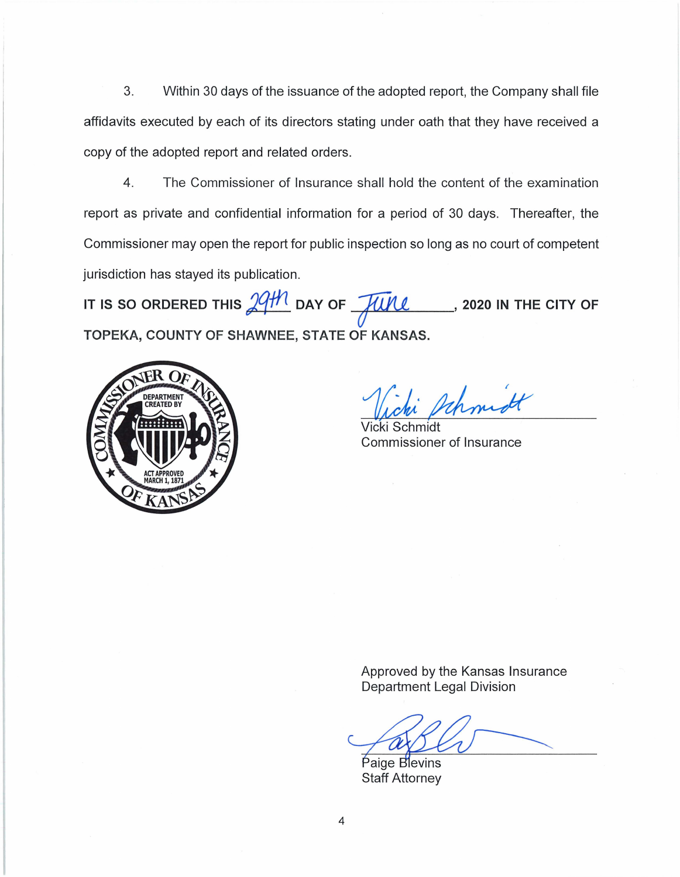3. Within 30 days of the issuance of the adopted report, the Company shall file affidavits executed by each of its directors stating under oath that they have received a copy of the adopted report and related orders.

4. The Commissioner of Insurance shall hold the content of the examination report as private and confidential information for a period of 30 days. Thereafter, the Commissioner may open the report for public inspection so long as no court of competent jurisdiction has stayed its publication.

IT IS SO ORDERED THIS  $\frac{29H1}{100}$  day of  $\frac{1}{24}$  , 2020 in the city of **TOPEKA, COUNTY OF SHAWNEE, STATE OF KANSAS.** 



*1{;1·~* 

Vicki Schmidt Commissioner of Insurance

Approved by the Kansas Insurance Department Legal Division

Paige Blevins Staff Attorney